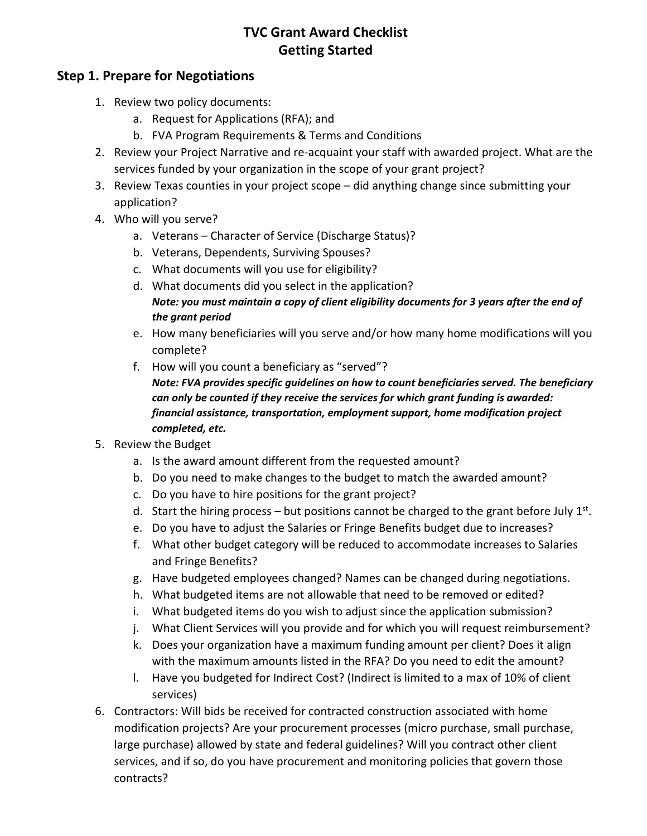### **Step 1. Prepare for Negotiations**

- 1. Review two policy documents:
	- a. Request for Applications (RFA); and
	- b. FVA Program Requirements & Terms and Conditions
- 2. Review your Project Narrative and re-acquaint your staff with awarded project. What are the services funded by your organization in the scope of your grant project?
- 3. Review Texas counties in your project scope did anything change since submitting your application?
- 4. Who will you serve?
	- a. Veterans Character of Service (Discharge Status)?
	- b. Veterans, Dependents, Surviving Spouses?
	- c. What documents will you use for eligibility?
	- d. What documents did you select in the application? *Note: you must maintain a copy of client eligibility documents for 3 years after the end of the grant period*
	- e. How many beneficiaries will you serve and/or how many home modifications will you complete?
	- f. How will you count a beneficiary as "served"? *Note: FVA provides specific guidelines on how to count beneficiaries served. The beneficiary can only be counted if they receive the services for which grant funding is awarded: financial assistance, transportation, employment support, home modification project completed, etc.*
- 5. Review the Budget
	- a. Is the award amount different from the requested amount?
	- b. Do you need to make changes to the budget to match the awarded amount?
	- c. Do you have to hire positions for the grant project?
	- d. Start the hiring process but positions cannot be charged to the grant before July  $1^{st}$ .
	- e. Do you have to adjust the Salaries or Fringe Benefits budget due to increases?
	- f. What other budget category will be reduced to accommodate increases to Salaries and Fringe Benefits?
	- g. Have budgeted employees changed? Names can be changed during negotiations.
	- h. What budgeted items are not allowable that need to be removed or edited?
	- i. What budgeted items do you wish to adjust since the application submission?
	- j. What Client Services will you provide and for which you will request reimbursement?
	- k. Does your organization have a maximum funding amount per client? Does it align with the maximum amounts listed in the RFA? Do you need to edit the amount?
	- l. Have you budgeted for Indirect Cost? (Indirect is limited to a max of 10% of client services)
- 6. Contractors: Will bids be received for contracted construction associated with home modification projects? Are your procurement processes (micro purchase, small purchase, large purchase) allowed by state and federal guidelines? Will you contract other client services, and if so, do you have procurement and monitoring policies that govern those contracts?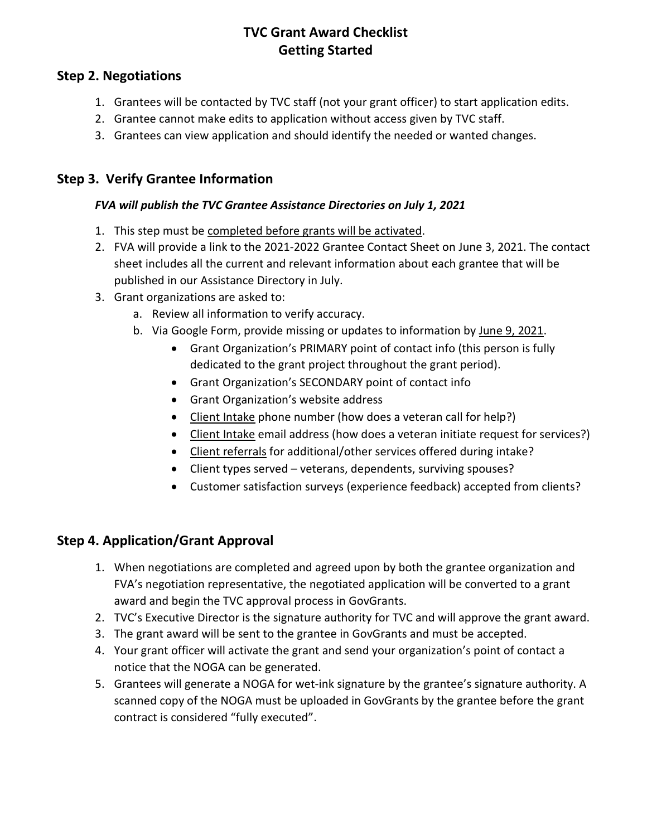#### **Step 2. Negotiations**

- 1. Grantees will be contacted by TVC staff (not your grant officer) to start application edits.
- 2. Grantee cannot make edits to application without access given by TVC staff.
- 3. Grantees can view application and should identify the needed or wanted changes.

### **Step 3. Verify Grantee Information**

#### *FVA will publish the TVC Grantee Assistance Directories on July 1, 2021*

- 1. This step must be completed before grants will be activated.
- 2. FVA will provide a link to the 2021-2022 Grantee Contact Sheet on June 3, 2021. The contact sheet includes all the current and relevant information about each grantee that will be published in our Assistance Directory in July.
- 3. Grant organizations are asked to:
	- a. Review all information to verify accuracy.
	- b. Via Google Form, provide missing or updates to information by June 9, 2021.
		- Grant Organization's PRIMARY point of contact info (this person is fully dedicated to the grant project throughout the grant period).
		- Grant Organization's SECONDARY point of contact info
		- Grant Organization's website address
		- Client Intake phone number (how does a veteran call for help?)
		- Client Intake email address (how does a veteran initiate request for services?)
		- Client referrals for additional/other services offered during intake?
		- Client types served veterans, dependents, surviving spouses?
		- Customer satisfaction surveys (experience feedback) accepted from clients?

# **Step 4. Application/Grant Approval**

- 1. When negotiations are completed and agreed upon by both the grantee organization and FVA's negotiation representative, the negotiated application will be converted to a grant award and begin the TVC approval process in GovGrants.
- 2. TVC's Executive Director is the signature authority for TVC and will approve the grant award.
- 3. The grant award will be sent to the grantee in GovGrants and must be accepted.
- 4. Your grant officer will activate the grant and send your organization's point of contact a notice that the NOGA can be generated.
- 5. Grantees will generate a NOGA for wet-ink signature by the grantee's signature authority. A scanned copy of the NOGA must be uploaded in GovGrants by the grantee before the grant contract is considered "fully executed".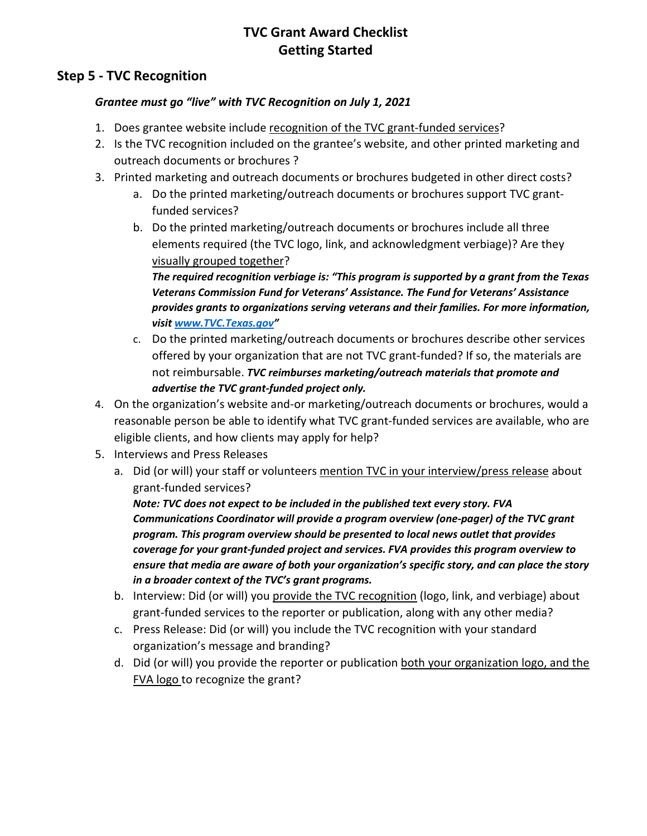#### **Step 5 - TVC Recognition**

#### *Grantee must go "live" with TVC Recognition on July 1, 2021*

- 1. Does grantee website include recognition of the TVC grant-funded services?
- 2. Is the TVC recognition included on the grantee's website, and other printed marketing and outreach documents or brochures ?
- 3. Printed marketing and outreach documents or brochures budgeted in other direct costs?
	- a. Do the printed marketing/outreach documents or brochures support TVC grantfunded services?
	- b. Do the printed marketing/outreach documents or brochures include all three elements required (the TVC logo, link, and acknowledgment verbiage)? Are they visually grouped together?

*The required recognition verbiage is: "This program is supported by a grant from the Texas Veterans Commission Fund for Veterans' Assistance. The Fund for Veterans' Assistance provides grants to organizations serving veterans and their families. For more information, visit [www.TVC.Texas.gov"](http://www.tvc.texas.gov/)*

- c. Do the printed marketing/outreach documents or brochures describe other services offered by your organization that are not TVC grant-funded? If so, the materials are not reimbursable. *TVC reimburses marketing/outreach materials that promote and advertise the TVC grant-funded project only.*
- 4. On the organization's website and-or marketing/outreach documents or brochures, would a reasonable person be able to identify what TVC grant-funded services are available, who are eligible clients, and how clients may apply for help?
- 5. Interviews and Press Releases
	- a. Did (or will) your staff or volunteers mention TVC in your interview/press release about grant-funded services?

*Note: TVC does not expect to be included in the published text every story. FVA Communications Coordinator will provide a program overview (one-pager) of the TVC grant program. This program overview should be presented to local news outlet that provides coverage for your grant-funded project and services. FVA provides this program overview to ensure that media are aware of both your organization's specific story, and can place the story in a broader context of the TVC's grant programs.*

- b. Interview: Did (or will) you provide the TVC recognition (logo, link, and verbiage) about grant-funded services to the reporter or publication, along with any other media?
- c. Press Release: Did (or will) you include the TVC recognition with your standard organization's message and branding?
- d. Did (or will) you provide the reporter or publication both your organization logo, and the FVA logo to recognize the grant?